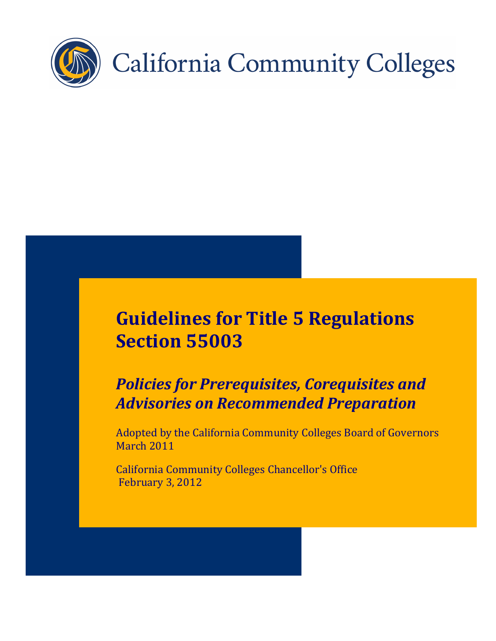

# **Guidelines for Title 5 Regulations Section 55003**

## *Policies for Prerequisites, Corequisites and Advisories on Recommended Preparation*

Adopted by the California Community Colleges Board of Governors March 2011

California Community Colleges Chancellor's Office February 3, 2012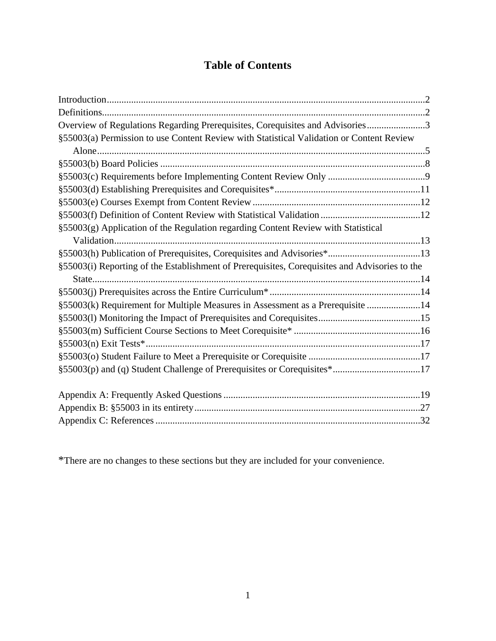## **Table of Contents**

| Overview of Regulations Regarding Prerequisites, Corequisites and Advisories3                 |  |
|-----------------------------------------------------------------------------------------------|--|
| §55003(a) Permission to use Content Review with Statistical Validation or Content Review      |  |
|                                                                                               |  |
|                                                                                               |  |
|                                                                                               |  |
|                                                                                               |  |
|                                                                                               |  |
|                                                                                               |  |
| §55003(g) Application of the Regulation regarding Content Review with Statistical             |  |
|                                                                                               |  |
|                                                                                               |  |
| §55003(i) Reporting of the Establishment of Prerequisites, Corequisites and Advisories to the |  |
|                                                                                               |  |
|                                                                                               |  |
| §55003(k) Requirement for Multiple Measures in Assessment as a Prerequisite 14                |  |
|                                                                                               |  |
|                                                                                               |  |
|                                                                                               |  |
|                                                                                               |  |
| §55003(p) and (q) Student Challenge of Prerequisites or Corequisites*17                       |  |
|                                                                                               |  |
|                                                                                               |  |
|                                                                                               |  |
|                                                                                               |  |

\*There are no changes to these sections but they are included for your convenience.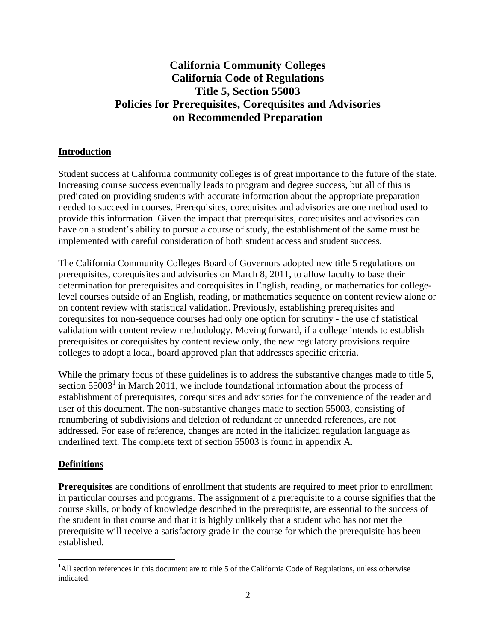## **California Community Colleges California Code of Regulations Title 5, Section 55003 Policies for Prerequisites, Corequisites and Advisories on Recommended Preparation**

## **Introduction**

Student success at California community colleges is of great importance to the future of the state. Increasing course success eventually leads to program and degree success, but all of this is predicated on providing students with accurate information about the appropriate preparation needed to succeed in courses. Prerequisites, corequisites and advisories are one method used to provide this information. Given the impact that prerequisites, corequisites and advisories can have on a student's ability to pursue a course of study, the establishment of the same must be implemented with careful consideration of both student access and student success.

The California Community Colleges Board of Governors adopted new title 5 regulations on prerequisites, corequisites and advisories on March 8, 2011, to allow faculty to base their determination for prerequisites and corequisites in English, reading, or mathematics for collegelevel courses outside of an English, reading, or mathematics sequence on content review alone or on content review with statistical validation. Previously, establishing prerequisites and corequisites for non-sequence courses had only one option for scrutiny - the use of statistical validation with content review methodology. Moving forward, if a college intends to establish prerequisites or corequisites by content review only, the new regulatory provisions require colleges to adopt a local, board approved plan that addresses specific criteria.

While the primary focus of these guidelines is to address the substantive changes made to title 5, section  $55003<sup>1</sup>$  in March 2011, we include foundational information about the process of establishment of prerequisites, corequisites and advisories for the convenience of the reader and user of this document. The non-substantive changes made to section 55003, consisting of renumbering of subdivisions and deletion of redundant or unneeded references, are not addressed. For ease of reference, changes are noted in the italicized regulation language as underlined text. The complete text of section 55003 is found in appendix A.

#### **Definitions**

**Prerequisites** are conditions of enrollment that students are required to meet prior to enrollment in particular courses and programs. The assignment of a prerequisite to a course signifies that the course skills, or body of knowledge described in the prerequisite, are essential to the success of the student in that course and that it is highly unlikely that a student who has not met the prerequisite will receive a satisfactory grade in the course for which the prerequisite has been established.

<sup>&</sup>lt;sup>1</sup>All section references in this document are to title 5 of the California Code of Regulations, unless otherwise indicated.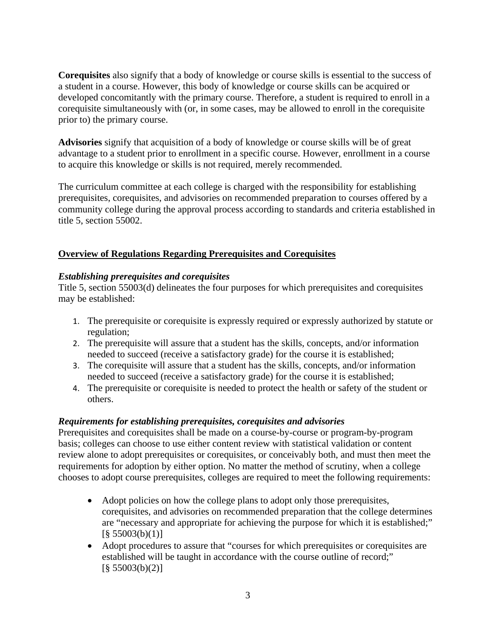**Corequisites** also signify that a body of knowledge or course skills is essential to the success of a student in a course. However, this body of knowledge or course skills can be acquired or developed concomitantly with the primary course. Therefore, a student is required to enroll in a corequisite simultaneously with (or, in some cases, may be allowed to enroll in the corequisite prior to) the primary course.

**Advisories** signify that acquisition of a body of knowledge or course skills will be of great advantage to a student prior to enrollment in a specific course. However, enrollment in a course to acquire this knowledge or skills is not required, merely recommended.

The curriculum committee at each college is charged with the responsibility for establishing prerequisites, corequisites, and advisories on recommended preparation to courses offered by a community college during the approval process according to standards and criteria established in title 5, section 55002.

## **Overview of Regulations Regarding Prerequisites and Corequisites**

## *Establishing prerequisites and corequisites*

Title 5, section 55003(d) delineates the four purposes for which prerequisites and corequisites may be established:

- 1. The prerequisite or corequisite is expressly required or expressly authorized by statute or regulation;
- 2. The prerequisite will assure that a student has the skills, concepts, and/or information needed to succeed (receive a satisfactory grade) for the course it is established;
- 3. The corequisite will assure that a student has the skills, concepts, and/or information needed to succeed (receive a satisfactory grade) for the course it is established;
- 4. The prerequisite or corequisite is needed to protect the health or safety of the student or others.

## *Requirements for establishing prerequisites, corequisites and advisories*

Prerequisites and corequisites shall be made on a course-by-course or program-by-program basis; colleges can choose to use either content review with statistical validation or content review alone to adopt prerequisites or corequisites, or conceivably both, and must then meet the requirements for adoption by either option. No matter the method of scrutiny, when a college chooses to adopt course prerequisites, colleges are required to meet the following requirements:

- Adopt policies on how the college plans to adopt only those prerequisites, corequisites, and advisories on recommended preparation that the college determines are "necessary and appropriate for achieving the purpose for which it is established;"  $\left[ \frac{8}{9} \right. 55003(b)(1)$ ]
- Adopt procedures to assure that "courses for which prerequisites or corequisites are established will be taught in accordance with the course outline of record;"  $\left[ \frac{8}{3} \right. 55003(b)(2)$ ]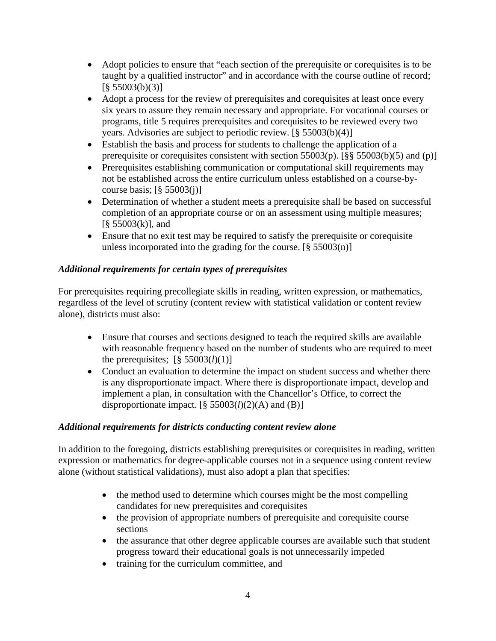- Adopt policies to ensure that "each section of the prerequisite or corequisites is to be taught by a qualified instructor" and in accordance with the course outline of record;  $\left[ \frac{8}{9} \right. 55003(b)(3)$ ]
- Adopt a process for the review of prerequisites and corequisites at least once every six years to assure they remain necessary and appropriate. For vocational courses or programs, title 5 requires prerequisites and corequisites to be reviewed every two years. Advisories are subject to periodic review. [§ 55003(b)(4)]
- Establish the basis and process for students to challenge the application of a prerequisite or corequisites consistent with section 55003(p). [§§ 55003(b)(5) and (p)]
- Prerequisites establishing communication or computational skill requirements may not be established across the entire curriculum unless established on a course-bycourse basis;  $\lceil \frac{6}{5} \cdot 55003(i) \rceil$
- Determination of whether a student meets a prerequisite shall be based on successful completion of an appropriate course or on an assessment using multiple measures;  $[\S 55003(k)]$ , and
- Ensure that no exit test may be required to satisfy the prerequisite or corequisite unless incorporated into the grading for the course.  $[\S 55003(n)]$

## *Additional requirements for certain types of prerequisites*

For prerequisites requiring precollegiate skills in reading, written expression, or mathematics, regardless of the level of scrutiny (content review with statistical validation or content review alone), districts must also:

- Ensure that courses and sections designed to teach the required skills are available with reasonable frequency based on the number of students who are required to meet the prerequisites;  $\left[\frac{8}{55003}(l)(1)\right]$
- Conduct an evaluation to determine the impact on student success and whether there is any disproportionate impact. Where there is disproportionate impact, develop and implement a plan, in consultation with the Chancellor's Office, to correct the disproportionate impact.  $[\S 55003(l)(2)(A)$  and  $(B)]$

## *Additional requirements for districts conducting content review alone*

In addition to the foregoing, districts establishing prerequisites or corequisites in reading, written expression or mathematics for degree-applicable courses not in a sequence using content review alone (without statistical validations), must also adopt a plan that specifies:

- the method used to determine which courses might be the most compelling candidates for new prerequisites and corequisites
- the provision of appropriate numbers of prerequisite and corequisite course sections
- the assurance that other degree applicable courses are available such that student progress toward their educational goals is not unnecessarily impeded
- training for the curriculum committee, and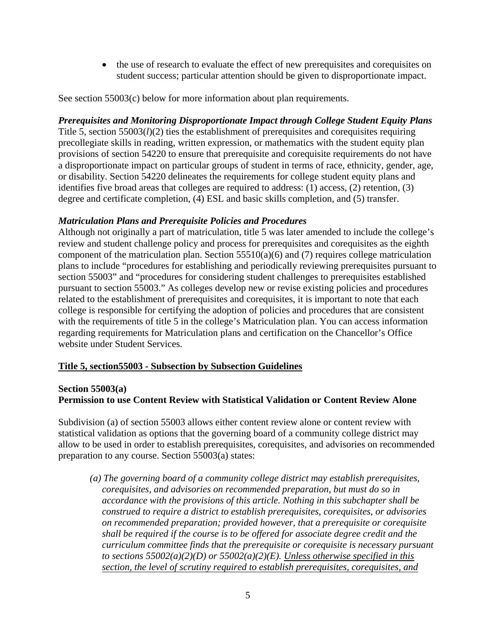the use of research to evaluate the effect of new prerequisites and corequisites on student success; particular attention should be given to disproportionate impact.

See section 55003(c) below for more information about plan requirements.

### *Prerequisites and Monitoring Disproportionate Impact through College Student Equity Plans*

Title 5, section 55003(*l*)(2) ties the establishment of prerequisites and corequisites requiring precollegiate skills in reading, written expression, or mathematics with the student equity plan provisions of section 54220 to ensure that prerequisite and corequisite requirements do not have a disproportionate impact on particular groups of student in terms of race, ethnicity, gender, age, or disability. Section 54220 delineates the requirements for college student equity plans and identifies five broad areas that colleges are required to address: (1) access, (2) retention, (3) degree and certificate completion, (4) ESL and basic skills completion, and (5) transfer.

#### *Matriculation Plans and Prerequisite Policies and Procedures*

Although not originally a part of matriculation, title 5 was later amended to include the college's review and student challenge policy and process for prerequisites and corequisites as the eighth component of the matriculation plan. Section  $55510(a)(6)$  and (7) requires college matriculation plans to include "procedures for establishing and periodically reviewing prerequisites pursuant to section 55003" and "procedures for considering student challenges to prerequisites established pursuant to section 55003." As colleges develop new or revise existing policies and procedures related to the establishment of prerequisites and corequisites, it is important to note that each college is responsible for certifying the adoption of policies and procedures that are consistent with the requirements of title 5 in the college's Matriculation plan. You can access information regarding requirements for Matriculation plans and certification on the Chancellor's Office website under Student Services.

## **Title 5, section55003 - Subsection by Subsection Guidelines**

#### **Section 55003(a)**

## **Permission to use Content Review with Statistical Validation or Content Review Alone**

Subdivision (a) of section 55003 allows either content review alone or content review with statistical validation as options that the governing board of a community college district may allow to be used in order to establish prerequisites, corequisites, and advisories on recommended preparation to any course. Section 55003(a) states:

*(a) The governing board of a community college district may establish prerequisites, corequisites, and advisories on recommended preparation, but must do so in accordance with the provisions of this article. Nothing in this subchapter shall be construed to require a district to establish prerequisites, corequisites, or advisories on recommended preparation; provided however, that a prerequisite or corequisite shall be required if the course is to be offered for associate degree credit and the curriculum committee finds that the prerequisite or corequisite is necessary pursuant to sections 55002(a)(2)(D) or 55002(a)(2)(E). Unless otherwise specified in this section, the level of scrutiny required to establish prerequisites, corequisites, and*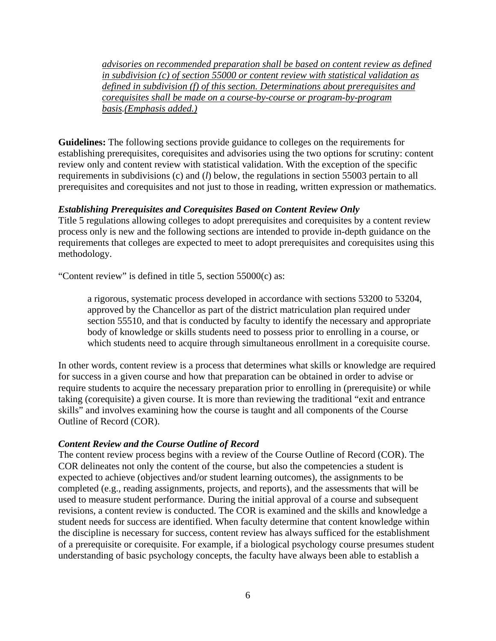*advisories on recommended preparation shall be based on content review as defined in subdivision (c) of section 55000 or content review with statistical validation as defined in subdivision (f) of this section. Determinations about prerequisites and corequisites shall be made on a course-by-course or program-by-program basis.(Emphasis added.)* 

**Guidelines:** The following sections provide guidance to colleges on the requirements for establishing prerequisites, corequisites and advisories using the two options for scrutiny: content review only and content review with statistical validation. With the exception of the specific requirements in subdivisions (c) and (*l*) below, the regulations in section 55003 pertain to all prerequisites and corequisites and not just to those in reading, written expression or mathematics.

## *Establishing Prerequisites and Corequisites Based on Content Review Only*

Title 5 regulations allowing colleges to adopt prerequisites and corequisites by a content review process only is new and the following sections are intended to provide in-depth guidance on the requirements that colleges are expected to meet to adopt prerequisites and corequisites using this methodology.

"Content review" is defined in title 5, section  $55000(c)$  as:

a rigorous, systematic process developed in accordance with sections 53200 to 53204, approved by the Chancellor as part of the district matriculation plan required under section 55510, and that is conducted by faculty to identify the necessary and appropriate body of knowledge or skills students need to possess prior to enrolling in a course, or which students need to acquire through simultaneous enrollment in a corequisite course.

In other words, content review is a process that determines what skills or knowledge are required for success in a given course and how that preparation can be obtained in order to advise or require students to acquire the necessary preparation prior to enrolling in (prerequisite) or while taking (corequisite) a given course. It is more than reviewing the traditional "exit and entrance skills" and involves examining how the course is taught and all components of the Course Outline of Record (COR).

#### *Content Review and the Course Outline of Record*

The content review process begins with a review of the Course Outline of Record (COR). The COR delineates not only the content of the course, but also the competencies a student is expected to achieve (objectives and/or student learning outcomes), the assignments to be completed (e.g., reading assignments, projects, and reports), and the assessments that will be used to measure student performance. During the initial approval of a course and subsequent revisions, a content review is conducted. The COR is examined and the skills and knowledge a student needs for success are identified. When faculty determine that content knowledge within the discipline is necessary for success, content review has always sufficed for the establishment of a prerequisite or corequisite. For example, if a biological psychology course presumes student understanding of basic psychology concepts, the faculty have always been able to establish a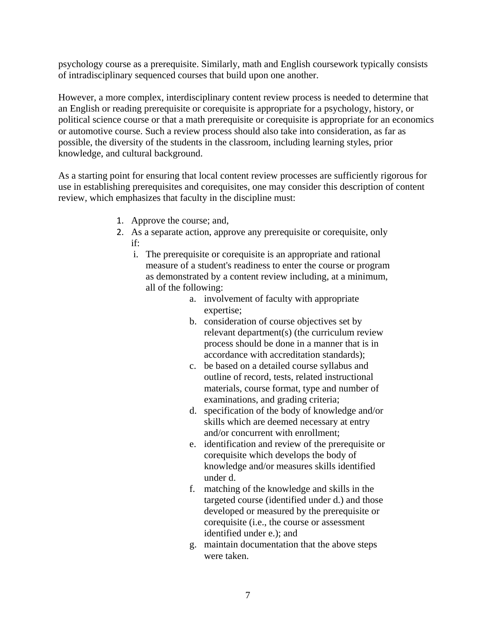psychology course as a prerequisite. Similarly, math and English coursework typically consists of intradisciplinary sequenced courses that build upon one another.

However, a more complex, interdisciplinary content review process is needed to determine that an English or reading prerequisite or corequisite is appropriate for a psychology, history, or political science course or that a math prerequisite or corequisite is appropriate for an economics or automotive course. Such a review process should also take into consideration, as far as possible, the diversity of the students in the classroom, including learning styles, prior knowledge, and cultural background.

As a starting point for ensuring that local content review processes are sufficiently rigorous for use in establishing prerequisites and corequisites, one may consider this description of content review, which emphasizes that faculty in the discipline must:

- 1. Approve the course; and,
- 2. As a separate action, approve any prerequisite or corequisite, only if:
	- i. The prerequisite or corequisite is an appropriate and rational measure of a student's readiness to enter the course or program as demonstrated by a content review including, at a minimum, all of the following:
		- a. involvement of faculty with appropriate expertise;
		- b. consideration of course objectives set by relevant department(s) (the curriculum review process should be done in a manner that is in accordance with accreditation standards);
		- c. be based on a detailed course syllabus and outline of record, tests, related instructional materials, course format, type and number of examinations, and grading criteria;
		- d. specification of the body of knowledge and/or skills which are deemed necessary at entry and/or concurrent with enrollment;
		- e. identification and review of the prerequisite or corequisite which develops the body of knowledge and/or measures skills identified under d.
		- f. matching of the knowledge and skills in the targeted course (identified under d.) and those developed or measured by the prerequisite or corequisite (i.e., the course or assessment identified under e.); and
		- g. maintain documentation that the above steps were taken.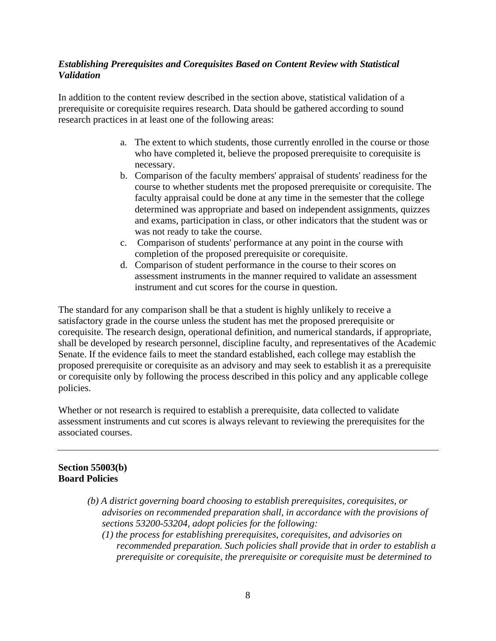### *Establishing Prerequisites and Corequisites Based on Content Review with Statistical Validation*

In addition to the content review described in the section above, statistical validation of a prerequisite or corequisite requires research. Data should be gathered according to sound research practices in at least one of the following areas:

- a. The extent to which students, those currently enrolled in the course or those who have completed it, believe the proposed prerequisite to corequisite is necessary.
- b. Comparison of the faculty members' appraisal of students' readiness for the course to whether students met the proposed prerequisite or corequisite. The faculty appraisal could be done at any time in the semester that the college determined was appropriate and based on independent assignments, quizzes and exams, participation in class, or other indicators that the student was or was not ready to take the course.
- c. Comparison of students' performance at any point in the course with completion of the proposed prerequisite or corequisite.
- d. Comparison of student performance in the course to their scores on assessment instruments in the manner required to validate an assessment instrument and cut scores for the course in question.

The standard for any comparison shall be that a student is highly unlikely to receive a satisfactory grade in the course unless the student has met the proposed prerequisite or corequisite. The research design, operational definition, and numerical standards, if appropriate, shall be developed by research personnel, discipline faculty, and representatives of the Academic Senate. If the evidence fails to meet the standard established, each college may establish the proposed prerequisite or corequisite as an advisory and may seek to establish it as a prerequisite or corequisite only by following the process described in this policy and any applicable college policies.

Whether or not research is required to establish a prerequisite, data collected to validate assessment instruments and cut scores is always relevant to reviewing the prerequisites for the associated courses.

## **Section 55003(b) Board Policies**

- *(b) A district governing board choosing to establish prerequisites, corequisites, or advisories on recommended preparation shall, in accordance with the provisions of sections 53200-53204, adopt policies for the following:* 
	- *(1) the process for establishing prerequisites, corequisites, and advisories on recommended preparation. Such policies shall provide that in order to establish a prerequisite or corequisite, the prerequisite or corequisite must be determined to*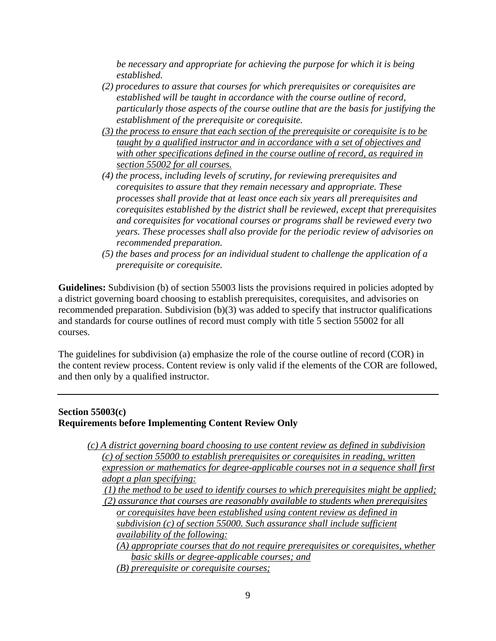*be necessary and appropriate for achieving the purpose for which it is being established.* 

- *(2) procedures to assure that courses for which prerequisites or corequisites are established will be taught in accordance with the course outline of record, particularly those aspects of the course outline that are the basis for justifying the establishment of the prerequisite or corequisite.*
- *(3) the process to ensure that each section of the prerequisite or corequisite is to be taught by a qualified instructor and in accordance with a set of objectives and with other specifications defined in the course outline of record, as required in section 55002 for all courses.*
- *(4) the process, including levels of scrutiny, for reviewing prerequisites and corequisites to assure that they remain necessary and appropriate. These processes shall provide that at least once each six years all prerequisites and corequisites established by the district shall be reviewed, except that prerequisites and corequisites for vocational courses or programs shall be reviewed every two years. These processes shall also provide for the periodic review of advisories on recommended preparation.*
- *(5) the bases and process for an individual student to challenge the application of a prerequisite or corequisite.*

**Guidelines:** Subdivision (b) of section 55003 lists the provisions required in policies adopted by a district governing board choosing to establish prerequisites, corequisites, and advisories on recommended preparation. Subdivision (b)(3) was added to specify that instructor qualifications and standards for course outlines of record must comply with title 5 section 55002 for all courses.

The guidelines for subdivision (a) emphasize the role of the course outline of record (COR) in the content review process. Content review is only valid if the elements of the COR are followed, and then only by a qualified instructor.

#### **Section 55003(c) Requirements before Implementing Content Review Only**

*(c) A district governing board choosing to use content review as defined in subdivision (c) of section 55000 to establish prerequisites or corequisites in reading, written expression or mathematics for degree-applicable courses not in a sequence shall first adopt a plan specifying: (1) the method to be used to identify courses to which prerequisites might be applied; (2) assurance that courses are reasonably available to students when prerequisites or corequisites have been established using content review as defined in subdivision (c) of section 55000. Such assurance shall include sufficient availability of the following: (A) appropriate courses that do not require prerequisites or corequisites, whether basic skills or degree-applicable courses; and (B) prerequisite or corequisite courses;*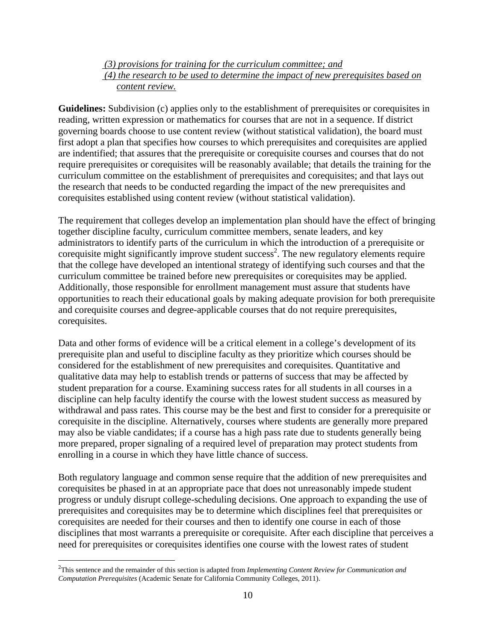#### *(3) provisions for training for the curriculum committee; and (4) the research to be used to determine the impact of new prerequisites based on content review.*

**Guidelines:** Subdivision (c) applies only to the establishment of prerequisites or corequisites in reading, written expression or mathematics for courses that are not in a sequence. If district governing boards choose to use content review (without statistical validation), the board must first adopt a plan that specifies how courses to which prerequisites and corequisites are applied are indentified; that assures that the prerequisite or corequisite courses and courses that do not require prerequisites or corequisites will be reasonably available; that details the training for the curriculum committee on the establishment of prerequisites and corequisites; and that lays out the research that needs to be conducted regarding the impact of the new prerequisites and corequisites established using content review (without statistical validation).

The requirement that colleges develop an implementation plan should have the effect of bringing together discipline faculty, curriculum committee members, senate leaders, and key administrators to identify parts of the curriculum in which the introduction of a prerequisite or corequisite might significantly improve student success<sup>2</sup>. The new regulatory elements require that the college have developed an intentional strategy of identifying such courses and that the curriculum committee be trained before new prerequisites or corequisites may be applied. Additionally, those responsible for enrollment management must assure that students have opportunities to reach their educational goals by making adequate provision for both prerequisite and corequisite courses and degree-applicable courses that do not require prerequisites, corequisites.

Data and other forms of evidence will be a critical element in a college's development of its prerequisite plan and useful to discipline faculty as they prioritize which courses should be considered for the establishment of new prerequisites and corequisites. Quantitative and qualitative data may help to establish trends or patterns of success that may be affected by student preparation for a course. Examining success rates for all students in all courses in a discipline can help faculty identify the course with the lowest student success as measured by withdrawal and pass rates. This course may be the best and first to consider for a prerequisite or corequisite in the discipline. Alternatively, courses where students are generally more prepared may also be viable candidates; if a course has a high pass rate due to students generally being more prepared, proper signaling of a required level of preparation may protect students from enrolling in a course in which they have little chance of success.

Both regulatory language and common sense require that the addition of new prerequisites and corequisites be phased in at an appropriate pace that does not unreasonably impede student progress or unduly disrupt college-scheduling decisions. One approach to expanding the use of prerequisites and corequisites may be to determine which disciplines feel that prerequisites or corequisites are needed for their courses and then to identify one course in each of those disciplines that most warrants a prerequisite or corequisite. After each discipline that perceives a need for prerequisites or corequisites identifies one course with the lowest rates of student

 $\overline{a}$ 

<sup>2</sup> This sentence and the remainder of this section is adapted from *Implementing Content Review for Communication and Computation Prerequisites* (Academic Senate for California Community Colleges, 2011).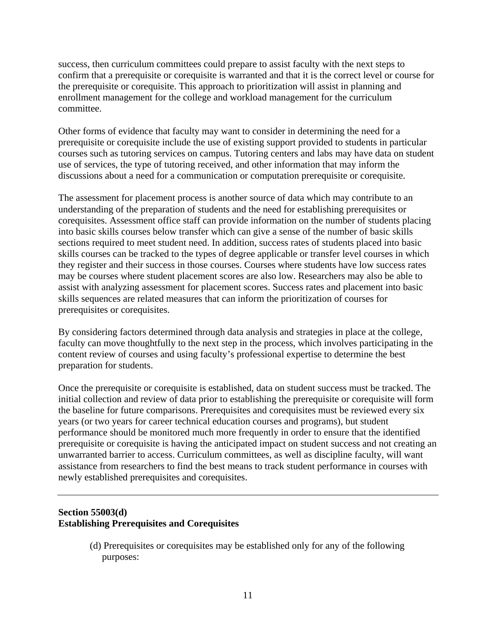success, then curriculum committees could prepare to assist faculty with the next steps to confirm that a prerequisite or corequisite is warranted and that it is the correct level or course for the prerequisite or corequisite. This approach to prioritization will assist in planning and enrollment management for the college and workload management for the curriculum committee.

Other forms of evidence that faculty may want to consider in determining the need for a prerequisite or corequisite include the use of existing support provided to students in particular courses such as tutoring services on campus. Tutoring centers and labs may have data on student use of services, the type of tutoring received, and other information that may inform the discussions about a need for a communication or computation prerequisite or corequisite.

The assessment for placement process is another source of data which may contribute to an understanding of the preparation of students and the need for establishing prerequisites or corequisites. Assessment office staff can provide information on the number of students placing into basic skills courses below transfer which can give a sense of the number of basic skills sections required to meet student need. In addition, success rates of students placed into basic skills courses can be tracked to the types of degree applicable or transfer level courses in which they register and their success in those courses. Courses where students have low success rates may be courses where student placement scores are also low. Researchers may also be able to assist with analyzing assessment for placement scores. Success rates and placement into basic skills sequences are related measures that can inform the prioritization of courses for prerequisites or corequisites.

By considering factors determined through data analysis and strategies in place at the college, faculty can move thoughtfully to the next step in the process, which involves participating in the content review of courses and using faculty's professional expertise to determine the best preparation for students.

Once the prerequisite or corequisite is established, data on student success must be tracked. The initial collection and review of data prior to establishing the prerequisite or corequisite will form the baseline for future comparisons. Prerequisites and corequisites must be reviewed every six years (or two years for career technical education courses and programs), but student performance should be monitored much more frequently in order to ensure that the identified prerequisite or corequisite is having the anticipated impact on student success and not creating an unwarranted barrier to access. Curriculum committees, as well as discipline faculty, will want assistance from researchers to find the best means to track student performance in courses with newly established prerequisites and corequisites.

## **Section 55003(d) Establishing Prerequisites and Corequisites**

 (d) Prerequisites or corequisites may be established only for any of the following purposes: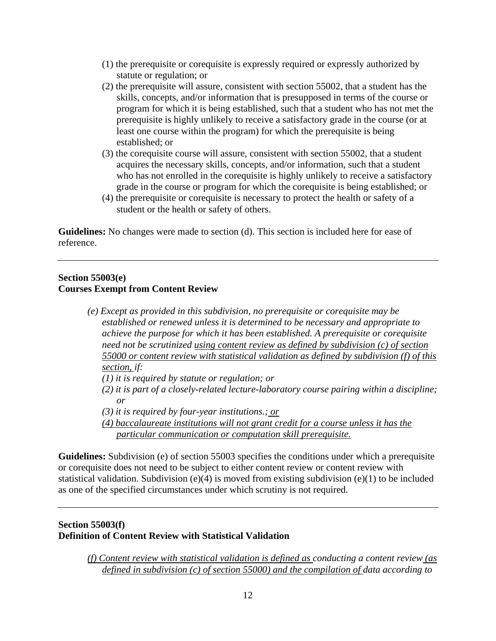- (1) the prerequisite or corequisite is expressly required or expressly authorized by statute or regulation; or
- (2) the prerequisite will assure, consistent with section 55002, that a student has the skills, concepts, and/or information that is presupposed in terms of the course or program for which it is being established, such that a student who has not met the prerequisite is highly unlikely to receive a satisfactory grade in the course (or at least one course within the program) for which the prerequisite is being established; or
- (3) the corequisite course will assure, consistent with section 55002, that a student acquires the necessary skills, concepts, and/or information, such that a student who has not enrolled in the corequisite is highly unlikely to receive a satisfactory grade in the course or program for which the corequisite is being established; or
- (4) the prerequisite or corequisite is necessary to protect the health or safety of a student or the health or safety of others.

**Guidelines:** No changes were made to section (d). This section is included here for ease of reference.

#### **Section 55003(e) Courses Exempt from Content Review**

- *(e) Except as provided in this subdivision, no prerequisite or corequisite may be established or renewed unless it is determined to be necessary and appropriate to achieve the purpose for which it has been established. A prerequisite or corequisite need not be scrutinized using content review as defined by subdivision (c) of section 55000 or content review with statistical validation as defined by subdivision (f) of this section, if:* 
	- *(1) it is required by statute or regulation; or*
	- *(2) it is part of a closely-related lecture-laboratory course pairing within a discipline; or*
	- *(3) it is required by four-year institutions.; or*
	- *(4) baccalaureate institutions will not grant credit for a course unless it has the particular communication or computation skill prerequisite.*

**Guidelines:** Subdivision (e) of section 55003 specifies the conditions under which a prerequisite or corequisite does not need to be subject to either content review or content review with statistical validation. Subdivision (e)(4) is moved from existing subdivision (e)(1) to be included as one of the specified circumstances under which scrutiny is not required.

## **Section 55003(f) Definition of Content Review with Statistical Validation**

*(f) Content review with statistical validation is defined as conducting a content review (as defined in subdivision (c) of section 55000) and the compilation of data according to*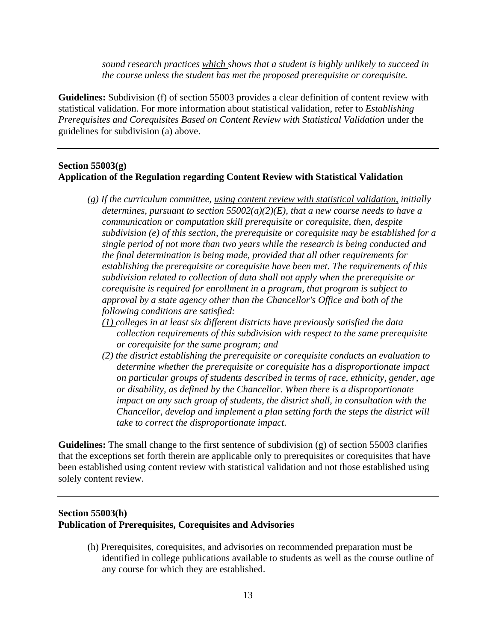*sound research practices which shows that a student is highly unlikely to succeed in the course unless the student has met the proposed prerequisite or corequisite.* 

**Guidelines:** Subdivision (f) of section 55003 provides a clear definition of content review with statistical validation. For more information about statistical validation, refer to *Establishing Prerequisites and Corequisites Based on Content Review with Statistical Validation* under the guidelines for subdivision (a) above.

#### **Section 55003(g) Application of the Regulation regarding Content Review with Statistical Validation**

- *(g) If the curriculum committee, using content review with statistical validation, initially determines, pursuant to section 55002(a)(2)(E), that a new course needs to have a communication or computation skill prerequisite or corequisite, then, despite subdivision (e) of this section, the prerequisite or corequisite may be established for a single period of not more than two years while the research is being conducted and the final determination is being made, provided that all other requirements for establishing the prerequisite or corequisite have been met. The requirements of this subdivision related to collection of data shall not apply when the prerequisite or corequisite is required for enrollment in a program, that program is subject to approval by a state agency other than the Chancellor's Office and both of the following conditions are satisfied:* 
	- *(1) colleges in at least six different districts have previously satisfied the data collection requirements of this subdivision with respect to the same prerequisite or corequisite for the same program; and*
	- *(2) the district establishing the prerequisite or corequisite conducts an evaluation to determine whether the prerequisite or corequisite has a disproportionate impact on particular groups of students described in terms of race, ethnicity, gender, age or disability, as defined by the Chancellor. When there is a disproportionate impact on any such group of students, the district shall, in consultation with the Chancellor, develop and implement a plan setting forth the steps the district will take to correct the disproportionate impact.*

**Guidelines:** The small change to the first sentence of subdivision (g) of section 55003 clarifies that the exceptions set forth therein are applicable only to prerequisites or corequisites that have been established using content review with statistical validation and not those established using solely content review.

#### **Section 55003(h) Publication of Prerequisites, Corequisites and Advisories**

(h) Prerequisites, corequisites, and advisories on recommended preparation must be identified in college publications available to students as well as the course outline of any course for which they are established.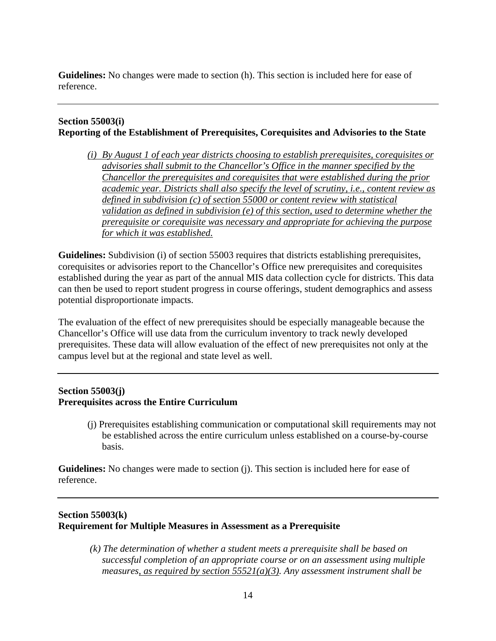**Guidelines:** No changes were made to section (h). This section is included here for ease of reference.

## **Section 55003(i) Reporting of the Establishment of Prerequisites, Corequisites and Advisories to the State**

*(i) By August 1 of each year districts choosing to establish prerequisites, corequisites or advisories shall submit to the Chancellor's Office in the manner specified by the Chancellor the prerequisites and corequisites that were established during the prior academic year. Districts shall also specify the level of scrutiny, i.e., content review as defined in subdivision (c) of section 55000 or content review with statistical validation as defined in subdivision (e) of this section, used to determine whether the prerequisite or corequisite was necessary and appropriate for achieving the purpose for which it was established.* 

**Guidelines:** Subdivision (i) of section 55003 requires that districts establishing prerequisites, corequisites or advisories report to the Chancellor's Office new prerequisites and corequisites established during the year as part of the annual MIS data collection cycle for districts. This data can then be used to report student progress in course offerings, student demographics and assess potential disproportionate impacts.

The evaluation of the effect of new prerequisites should be especially manageable because the Chancellor's Office will use data from the curriculum inventory to track newly developed prerequisites. These data will allow evaluation of the effect of new prerequisites not only at the campus level but at the regional and state level as well.

## **Section 55003(j) Prerequisites across the Entire Curriculum**

(j) Prerequisites establishing communication or computational skill requirements may not be established across the entire curriculum unless established on a course-by-course basis.

**Guidelines:** No changes were made to section (j). This section is included here for ease of reference.

## **Section 55003(k) Requirement for Multiple Measures in Assessment as a Prerequisite**

 *(k) The determination of whether a student meets a prerequisite shall be based on successful completion of an appropriate course or on an assessment using multiple measures, as required by section 55521(a)(3). Any assessment instrument shall be*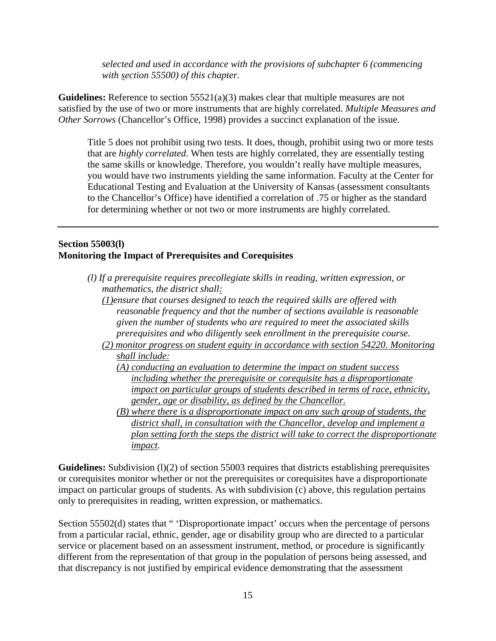*selected and used in accordance with the provisions of subchapter 6 (commencing with section 55500) of this chapter.* 

**Guidelines:** Reference to section 55521(a)(3) makes clear that multiple measures are not satisfied by the use of two or more instruments that are highly correlated. *Multiple Measures and Other Sorrows* (Chancellor's Office, 1998) provides a succinct explanation of the issue.

Title 5 does not prohibit using two tests. It does, though, prohibit using two or more tests that are *highly correlated*. When tests are highly correlated, they are essentially testing the same skills or knowledge. Therefore, you wouldn't really have multiple measures, you would have two instruments yielding the same information. Faculty at the Center for Educational Testing and Evaluation at the University of Kansas (assessment consultants to the Chancellor's Office) have identified a correlation of .75 or higher as the standard for determining whether or not two or more instruments are highly correlated.

#### **Section 55003(l) Monitoring the Impact of Prerequisites and Corequisites**

- *(l) If a prerequisite requires precollegiate skills in reading, written expression, or mathematics, the district shall:* 
	- *(1)ensure that courses designed to teach the required skills are offered with reasonable frequency and that the number of sections available is reasonable given the number of students who are required to meet the associated skills prerequisites and who diligently seek enrollment in the prerequisite course.*
	- *(2) monitor progress on student equity in accordance with section 54220. Monitoring shall include:* 
		- *(A) conducting an evaluation to determine the impact on student success including whether the prerequisite or corequisite has a disproportionate impact on particular groups of students described in terms of race, ethnicity, gender, age or disability, as defined by the Chancellor.*
		- *(B) where there is a disproportionate impact on any such group of students, the district shall, in consultation with the Chancellor, develop and implement a plan setting forth the steps the district will take to correct the disproportionate impact.*

Guidelines: Subdivision (1)(2) of section 55003 requires that districts establishing prerequisites or corequisites monitor whether or not the prerequisites or corequisites have a disproportionate impact on particular groups of students. As with subdivision (c) above, this regulation pertains only to prerequisites in reading, written expression, or mathematics.

Section 55502(d) states that " 'Disproportionate impact' occurs when the percentage of persons from a particular racial, ethnic, gender, age or disability group who are directed to a particular service or placement based on an assessment instrument, method, or procedure is significantly different from the representation of that group in the population of persons being assessed, and that discrepancy is not justified by empirical evidence demonstrating that the assessment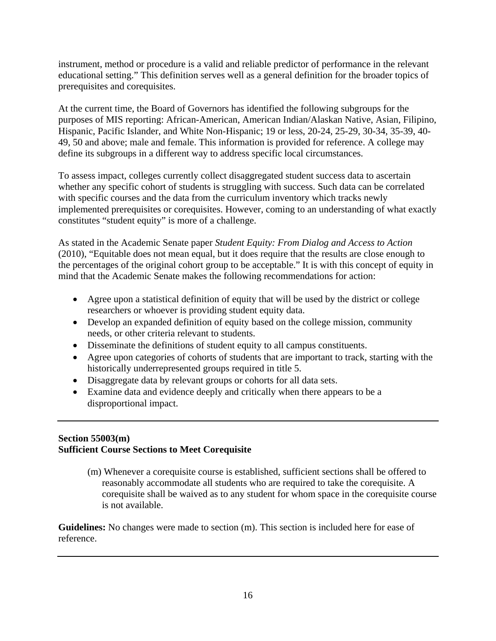instrument, method or procedure is a valid and reliable predictor of performance in the relevant educational setting." This definition serves well as a general definition for the broader topics of prerequisites and corequisites.

At the current time, the Board of Governors has identified the following subgroups for the purposes of MIS reporting: African-American, American Indian/Alaskan Native, Asian, Filipino, Hispanic, Pacific Islander, and White Non-Hispanic; 19 or less, 20-24, 25-29, 30-34, 35-39, 40- 49, 50 and above; male and female. This information is provided for reference. A college may define its subgroups in a different way to address specific local circumstances.

To assess impact, colleges currently collect disaggregated student success data to ascertain whether any specific cohort of students is struggling with success. Such data can be correlated with specific courses and the data from the curriculum inventory which tracks newly implemented prerequisites or corequisites. However, coming to an understanding of what exactly constitutes "student equity" is more of a challenge.

As stated in the Academic Senate paper *Student Equity: From Dialog and Access to Action* (2010), "Equitable does not mean equal, but it does require that the results are close enough to the percentages of the original cohort group to be acceptable." It is with this concept of equity in mind that the Academic Senate makes the following recommendations for action:

- Agree upon a statistical definition of equity that will be used by the district or college researchers or whoever is providing student equity data.
- Develop an expanded definition of equity based on the college mission, community needs, or other criteria relevant to students.
- Disseminate the definitions of student equity to all campus constituents.
- Agree upon categories of cohorts of students that are important to track, starting with the historically underrepresented groups required in title 5.
- Disaggregate data by relevant groups or cohorts for all data sets.
- Examine data and evidence deeply and critically when there appears to be a disproportional impact.

## **Section 55003(m) Sufficient Course Sections to Meet Corequisite**

(m) Whenever a corequisite course is established, sufficient sections shall be offered to reasonably accommodate all students who are required to take the corequisite. A corequisite shall be waived as to any student for whom space in the corequisite course is not available.

**Guidelines:** No changes were made to section (m). This section is included here for ease of reference.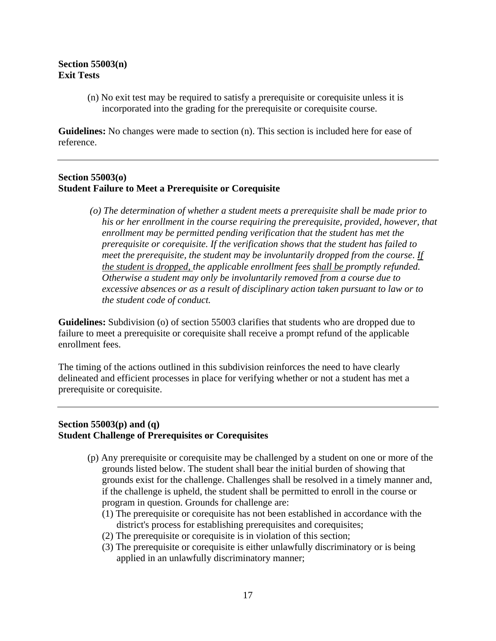#### **Section 55003(n) Exit Tests**

(n) No exit test may be required to satisfy a prerequisite or corequisite unless it is incorporated into the grading for the prerequisite or corequisite course.

**Guidelines:** No changes were made to section (n). This section is included here for ease of reference.

#### **Section 55003(o) Student Failure to Meet a Prerequisite or Corequisite**

 *(o) The determination of whether a student meets a prerequisite shall be made prior to his or her enrollment in the course requiring the prerequisite, provided, however, that enrollment may be permitted pending verification that the student has met the prerequisite or corequisite. If the verification shows that the student has failed to meet the prerequisite, the student may be involuntarily dropped from the course*. *If the student is dropped, the applicable enrollment fees shall be promptly refunded. Otherwise a student may only be involuntarily removed from a course due to excessive absences or as a result of disciplinary action taken pursuant to law or to the student code of conduct.* 

**Guidelines:** Subdivision (o) of section 55003 clarifies that students who are dropped due to failure to meet a prerequisite or corequisite shall receive a prompt refund of the applicable enrollment fees.

The timing of the actions outlined in this subdivision reinforces the need to have clearly delineated and efficient processes in place for verifying whether or not a student has met a prerequisite or corequisite.

#### **Section 55003(p) and (q) Student Challenge of Prerequisites or Corequisites**

- (p) Any prerequisite or corequisite may be challenged by a student on one or more of the grounds listed below. The student shall bear the initial burden of showing that grounds exist for the challenge. Challenges shall be resolved in a timely manner and, if the challenge is upheld, the student shall be permitted to enroll in the course or program in question. Grounds for challenge are:
	- (1) The prerequisite or corequisite has not been established in accordance with the district's process for establishing prerequisites and corequisites;
	- (2) The prerequisite or corequisite is in violation of this section;
	- (3) The prerequisite or corequisite is either unlawfully discriminatory or is being applied in an unlawfully discriminatory manner;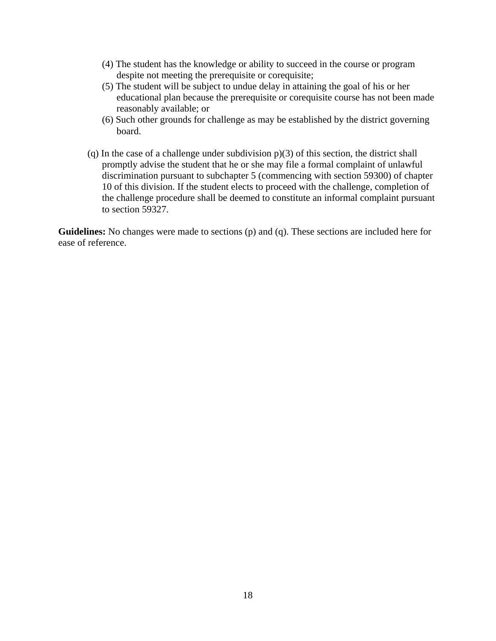- (4) The student has the knowledge or ability to succeed in the course or program despite not meeting the prerequisite or corequisite;
- (5) The student will be subject to undue delay in attaining the goal of his or her educational plan because the prerequisite or corequisite course has not been made reasonably available; or
- (6) Such other grounds for challenge as may be established by the district governing board.
- (q) In the case of a challenge under subdivision p)(3) of this section, the district shall promptly advise the student that he or she may file a formal complaint of unlawful discrimination pursuant to subchapter 5 (commencing with section 59300) of chapter 10 of this division. If the student elects to proceed with the challenge, completion of the challenge procedure shall be deemed to constitute an informal complaint pursuant to section 59327.

**Guidelines:** No changes were made to sections (p) and (q). These sections are included here for ease of reference.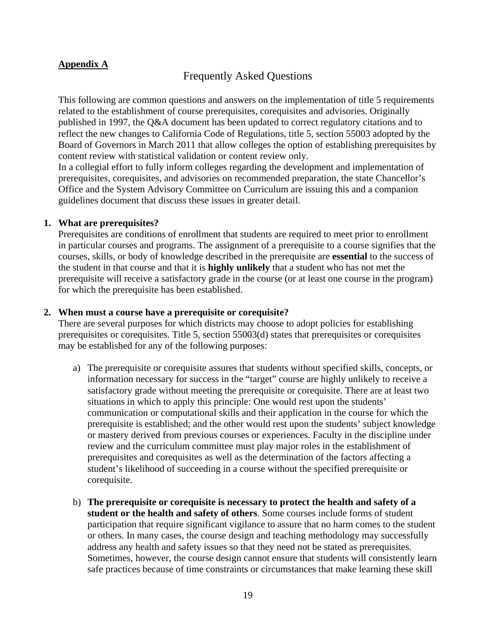#### **Appendix A**

## Frequently Asked Questions

This following are common questions and answers on the implementation of title 5 requirements related to the establishment of course prerequisites, corequisites and advisories. Originally published in 1997, the Q&A document has been updated to correct regulatory citations and to reflect the new changes to California Code of Regulations, title 5, section 55003 adopted by the Board of Governors in March 2011 that allow colleges the option of establishing prerequisites by content review with statistical validation or content review only.

In a collegial effort to fully inform colleges regarding the development and implementation of prerequisites, corequisites, and advisories on recommended preparation, the state Chancellor's Office and the System Advisory Committee on Curriculum are issuing this and a companion guidelines document that discuss these issues in greater detail.

#### **1. What are prerequisites?**

Prerequisites are conditions of enrollment that students are required to meet prior to enrollment in particular courses and programs. The assignment of a prerequisite to a course signifies that the courses, skills, or body of knowledge described in the prerequisite are **essential** to the success of the student in that course and that it is **highly unlikely** that a student who has not met the prerequisite will receive a satisfactory grade in the course (or at least one course in the program) for which the prerequisite has been established.

#### **2. When must a course have a prerequisite or corequisite?**

There are several purposes for which districts may choose to adopt policies for establishing prerequisites or corequisites. Title 5, section 55003(d) states that prerequisites or corequisites may be established for any of the following purposes:

- a) The prerequisite or corequisite assures that students without specified skills, concepts, or information necessary for success in the "target" course are highly unlikely to receive a satisfactory grade without meeting the prerequisite or corequisite. There are at least two situations in which to apply this principle: One would rest upon the students' communication or computational skills and their application in the course for which the prerequisite is established; and the other would rest upon the students' subject knowledge or mastery derived from previous courses or experiences. Faculty in the discipline under review and the curriculum committee must play major roles in the establishment of prerequisites and corequisites as well as the determination of the factors affecting a student's likelihood of succeeding in a course without the specified prerequisite or corequisite.
- b) **The prerequisite or corequisite is necessary to protect the health and safety of a student or the health and safety of others**. Some courses include forms of student participation that require significant vigilance to assure that no harm comes to the student or others. In many cases, the course design and teaching methodology may successfully address any health and safety issues so that they need not be stated as prerequisites. Sometimes, however, the course design cannot ensure that students will consistently learn safe practices because of time constraints or circumstances that make learning these skill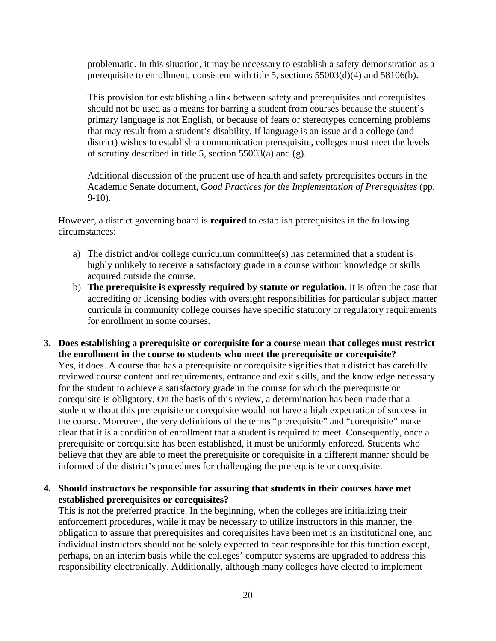problematic. In this situation, it may be necessary to establish a safety demonstration as a prerequisite to enrollment, consistent with title 5, sections 55003(d)(4) and 58106(b).

This provision for establishing a link between safety and prerequisites and corequisites should not be used as a means for barring a student from courses because the student's primary language is not English, or because of fears or stereotypes concerning problems that may result from a student's disability. If language is an issue and a college (and district) wishes to establish a communication prerequisite, colleges must meet the levels of scrutiny described in title 5, section 55003(a) and (g).

Additional discussion of the prudent use of health and safety prerequisites occurs in the Academic Senate document, *Good Practices for the Implementation of Prerequisites* (pp. 9-10).

However, a district governing board is **required** to establish prerequisites in the following circumstances:

- a) The district and/or college curriculum committee(s) has determined that a student is highly unlikely to receive a satisfactory grade in a course without knowledge or skills acquired outside the course.
- b) **The prerequisite is expressly required by statute or regulation.** It is often the case that accrediting or licensing bodies with oversight responsibilities for particular subject matter curricula in community college courses have specific statutory or regulatory requirements for enrollment in some courses.
- **3. Does establishing a prerequisite or corequisite for a course mean that colleges must restrict the enrollment in the course to students who meet the prerequisite or corequisite?**

Yes, it does. A course that has a prerequisite or corequisite signifies that a district has carefully reviewed course content and requirements, entrance and exit skills, and the knowledge necessary for the student to achieve a satisfactory grade in the course for which the prerequisite or corequisite is obligatory. On the basis of this review, a determination has been made that a student without this prerequisite or corequisite would not have a high expectation of success in the course. Moreover, the very definitions of the terms "prerequisite" and "corequisite" make clear that it is a condition of enrollment that a student is required to meet. Consequently, once a prerequisite or corequisite has been established, it must be uniformly enforced. Students who believe that they are able to meet the prerequisite or corequisite in a different manner should be informed of the district's procedures for challenging the prerequisite or corequisite.

**4. Should instructors be responsible for assuring that students in their courses have met established prerequisites or corequisites?** 

This is not the preferred practice. In the beginning, when the colleges are initializing their enforcement procedures, while it may be necessary to utilize instructors in this manner, the obligation to assure that prerequisites and corequisites have been met is an institutional one, and individual instructors should not be solely expected to bear responsible for this function except, perhaps, on an interim basis while the colleges' computer systems are upgraded to address this responsibility electronically. Additionally, although many colleges have elected to implement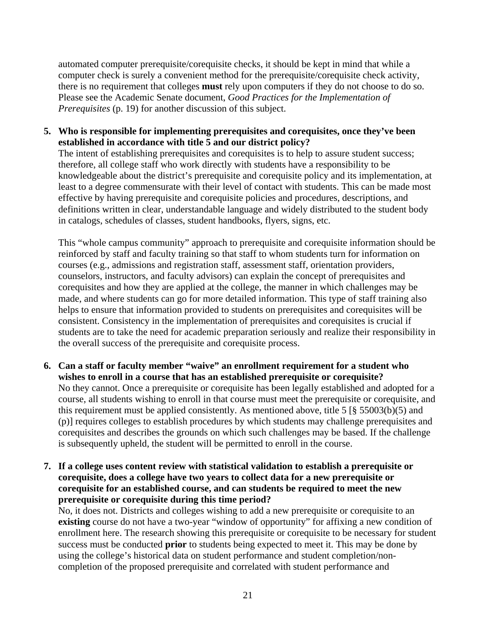automated computer prerequisite/corequisite checks, it should be kept in mind that while a computer check is surely a convenient method for the prerequisite/corequisite check activity, there is no requirement that colleges **must** rely upon computers if they do not choose to do so. Please see the Academic Senate document, *Good Practices for the Implementation of Prerequisites* (p. 19) for another discussion of this subject.

**5. Who is responsible for implementing prerequisites and corequisites, once they've been established in accordance with title 5 and our district policy?** 

The intent of establishing prerequisites and corequisites is to help to assure student success; therefore, all college staff who work directly with students have a responsibility to be knowledgeable about the district's prerequisite and corequisite policy and its implementation, at least to a degree commensurate with their level of contact with students. This can be made most effective by having prerequisite and corequisite policies and procedures, descriptions, and definitions written in clear, understandable language and widely distributed to the student body in catalogs, schedules of classes, student handbooks, flyers, signs, etc.

This "whole campus community" approach to prerequisite and corequisite information should be reinforced by staff and faculty training so that staff to whom students turn for information on courses (e.g., admissions and registration staff, assessment staff, orientation providers, counselors, instructors, and faculty advisors) can explain the concept of prerequisites and corequisites and how they are applied at the college, the manner in which challenges may be made, and where students can go for more detailed information. This type of staff training also helps to ensure that information provided to students on prerequisites and corequisites will be consistent. Consistency in the implementation of prerequisites and corequisites is crucial if students are to take the need for academic preparation seriously and realize their responsibility in the overall success of the prerequisite and corequisite process.

- **6. Can a staff or faculty member "waive" an enrollment requirement for a student who wishes to enroll in a course that has an established prerequisite or corequisite?**  No they cannot. Once a prerequisite or corequisite has been legally established and adopted for a course, all students wishing to enroll in that course must meet the prerequisite or corequisite, and this requirement must be applied consistently. As mentioned above, title 5 [§ 55003(b)(5) and (p)] requires colleges to establish procedures by which students may challenge prerequisites and corequisites and describes the grounds on which such challenges may be based. If the challenge is subsequently upheld, the student will be permitted to enroll in the course.
- **7. If a college uses content review with statistical validation to establish a prerequisite or corequisite, does a college have two years to collect data for a new prerequisite or corequisite for an established course, and can students be required to meet the new prerequisite or corequisite during this time period?**

No, it does not. Districts and colleges wishing to add a new prerequisite or corequisite to an **existing** course do not have a two-year "window of opportunity" for affixing a new condition of enrollment here. The research showing this prerequisite or corequisite to be necessary for student success must be conducted **prior** to students being expected to meet it. This may be done by using the college's historical data on student performance and student completion/noncompletion of the proposed prerequisite and correlated with student performance and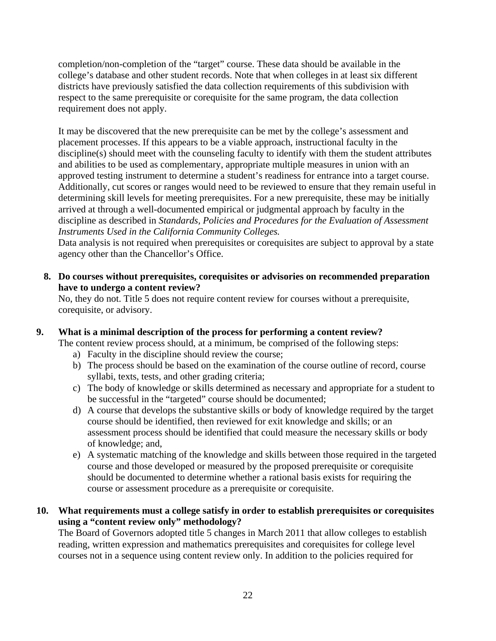completion/non-completion of the "target" course. These data should be available in the college's database and other student records. Note that when colleges in at least six different districts have previously satisfied the data collection requirements of this subdivision with respect to the same prerequisite or corequisite for the same program, the data collection requirement does not apply.

It may be discovered that the new prerequisite can be met by the college's assessment and placement processes. If this appears to be a viable approach, instructional faculty in the discipline(s) should meet with the counseling faculty to identify with them the student attributes and abilities to be used as complementary, appropriate multiple measures in union with an approved testing instrument to determine a student's readiness for entrance into a target course. Additionally, cut scores or ranges would need to be reviewed to ensure that they remain useful in determining skill levels for meeting prerequisites. For a new prerequisite, these may be initially arrived at through a well-documented empirical or judgmental approach by faculty in the discipline as described in *Standards, Policies and Procedures for the Evaluation of Assessment Instruments Used in the California Community Colleges.*

Data analysis is not required when prerequisites or corequisites are subject to approval by a state agency other than the Chancellor's Office.

**8. Do courses without prerequisites, corequisites or advisories on recommended preparation have to undergo a content review?** 

No, they do not. Title 5 does not require content review for courses without a prerequisite, corequisite, or advisory.

## **9. What is a minimal description of the process for performing a content review?**

The content review process should, at a minimum, be comprised of the following steps:

- a) Faculty in the discipline should review the course;
- b) The process should be based on the examination of the course outline of record, course syllabi, texts, tests, and other grading criteria;
- c) The body of knowledge or skills determined as necessary and appropriate for a student to be successful in the "targeted" course should be documented;
- d) A course that develops the substantive skills or body of knowledge required by the target course should be identified, then reviewed for exit knowledge and skills; or an assessment process should be identified that could measure the necessary skills or body of knowledge; and,
- e) A systematic matching of the knowledge and skills between those required in the targeted course and those developed or measured by the proposed prerequisite or corequisite should be documented to determine whether a rational basis exists for requiring the course or assessment procedure as a prerequisite or corequisite.
- **10. What requirements must a college satisfy in order to establish prerequisites or corequisites using a "content review only" methodology?**

The Board of Governors adopted title 5 changes in March 2011 that allow colleges to establish reading, written expression and mathematics prerequisites and corequisites for college level courses not in a sequence using content review only. In addition to the policies required for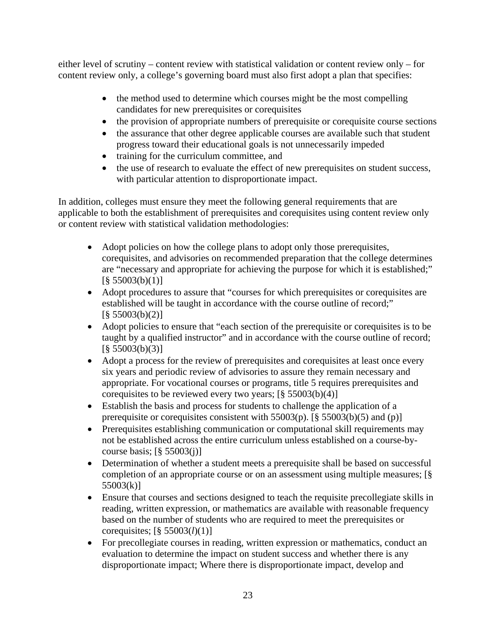either level of scrutiny – content review with statistical validation or content review only – for content review only, a college's governing board must also first adopt a plan that specifies:

- the method used to determine which courses might be the most compelling candidates for new prerequisites or corequisites
- the provision of appropriate numbers of prerequisite or corequisite course sections
- the assurance that other degree applicable courses are available such that student progress toward their educational goals is not unnecessarily impeded
- training for the curriculum committee, and
- the use of research to evaluate the effect of new prerequisites on student success, with particular attention to disproportionate impact.

In addition, colleges must ensure they meet the following general requirements that are applicable to both the establishment of prerequisites and corequisites using content review only or content review with statistical validation methodologies:

- Adopt policies on how the college plans to adopt only those prerequisites, corequisites, and advisories on recommended preparation that the college determines are "necessary and appropriate for achieving the purpose for which it is established;"  $\left[\frac{8}{9}55003(b)(1)\right]$
- Adopt procedures to assure that "courses for which prerequisites or corequisites are established will be taught in accordance with the course outline of record;"  $\left[\frac{8}{9}55003(b)(2)\right]$
- Adopt policies to ensure that "each section of the prerequisite or corequisites is to be taught by a qualified instructor" and in accordance with the course outline of record;  $\left[ \frac{8}{3} \right. 55003(b)(3)$ ]
- Adopt a process for the review of prerequisites and corequisites at least once every six years and periodic review of advisories to assure they remain necessary and appropriate. For vocational courses or programs, title 5 requires prerequisites and corequisites to be reviewed every two years;  $[\S 55003(b)(4)]$
- Establish the basis and process for students to challenge the application of a prerequisite or corequisites consistent with 55003(p). [§ 55003(b)(5) and (p)]
- Prerequisites establishing communication or computational skill requirements may not be established across the entire curriculum unless established on a course-bycourse basis;  $\lceil \frac{8}{55003}(i) \rceil$
- Determination of whether a student meets a prerequisite shall be based on successful completion of an appropriate course or on an assessment using multiple measures; [§ 55003(k)]
- Ensure that courses and sections designed to teach the requisite precollegiate skills in reading, written expression, or mathematics are available with reasonable frequency based on the number of students who are required to meet the prerequisites or corequisites; [§ 55003(*l*)(1)]
- For precollegiate courses in reading, written expression or mathematics, conduct an evaluation to determine the impact on student success and whether there is any disproportionate impact; Where there is disproportionate impact, develop and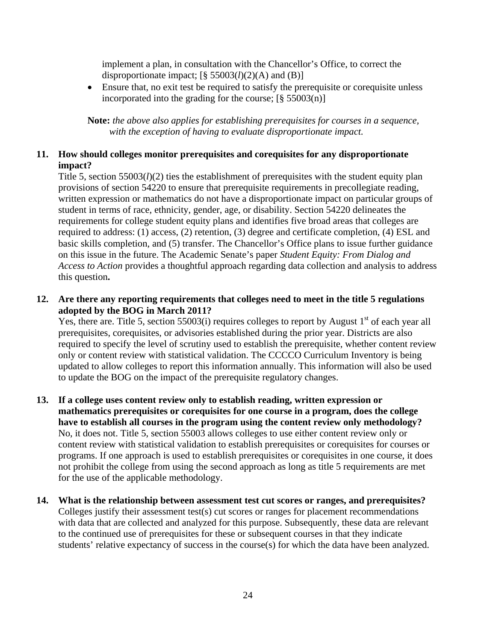implement a plan, in consultation with the Chancellor's Office, to correct the disproportionate impact;  $[\S 55003(l)(2)(A)$  and (B)]

 Ensure that, no exit test be required to satisfy the prerequisite or corequisite unless incorporated into the grading for the course;  $[\S 55003(n)]$ 

**Note:** *the above also applies for establishing prerequisites for courses in a sequence, with the exception of having to evaluate disproportionate impact.*

## **11. How should colleges monitor prerequisites and corequisites for any disproportionate impact?**

Title 5, section  $55003(l)(2)$  ties the establishment of prerequisites with the student equity plan provisions of section 54220 to ensure that prerequisite requirements in precollegiate reading, written expression or mathematics do not have a disproportionate impact on particular groups of student in terms of race, ethnicity, gender, age, or disability. Section 54220 delineates the requirements for college student equity plans and identifies five broad areas that colleges are required to address: (1) access, (2) retention, (3) degree and certificate completion, (4) ESL and basic skills completion, and (5) transfer. The Chancellor's Office plans to issue further guidance on this issue in the future. The Academic Senate's paper *Student Equity: From Dialog and Access to Action* provides a thoughtful approach regarding data collection and analysis to address this question**.**

## **12. Are there any reporting requirements that colleges need to meet in the title 5 regulations adopted by the BOG in March 2011?**

Yes, there are. Title 5, section 55003(i) requires colleges to report by August  $1<sup>st</sup>$  of each year all prerequisites, corequisites, or advisories established during the prior year. Districts are also required to specify the level of scrutiny used to establish the prerequisite, whether content review only or content review with statistical validation. The CCCCO Curriculum Inventory is being updated to allow colleges to report this information annually. This information will also be used to update the BOG on the impact of the prerequisite regulatory changes.

- **13. If a college uses content review only to establish reading, written expression or mathematics prerequisites or corequisites for one course in a program, does the college have to establish all courses in the program using the content review only methodology?**  No, it does not. Title 5, section 55003 allows colleges to use either content review only or content review with statistical validation to establish prerequisites or corequisites for courses or programs. If one approach is used to establish prerequisites or corequisites in one course, it does not prohibit the college from using the second approach as long as title 5 requirements are met for the use of the applicable methodology.
- **14. What is the relationship between assessment test cut scores or ranges, and prerequisites?**  Colleges justify their assessment test(s) cut scores or ranges for placement recommendations with data that are collected and analyzed for this purpose. Subsequently, these data are relevant to the continued use of prerequisites for these or subsequent courses in that they indicate students' relative expectancy of success in the course(s) for which the data have been analyzed.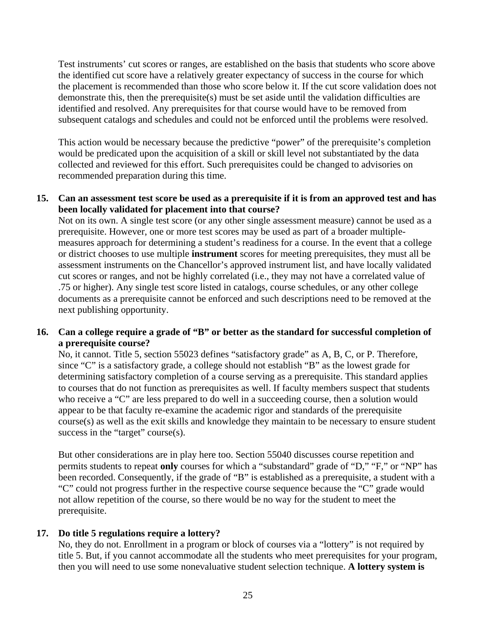Test instruments' cut scores or ranges, are established on the basis that students who score above the identified cut score have a relatively greater expectancy of success in the course for which the placement is recommended than those who score below it. If the cut score validation does not demonstrate this, then the prerequisite(s) must be set aside until the validation difficulties are identified and resolved. Any prerequisites for that course would have to be removed from subsequent catalogs and schedules and could not be enforced until the problems were resolved.

This action would be necessary because the predictive "power" of the prerequisite's completion would be predicated upon the acquisition of a skill or skill level not substantiated by the data collected and reviewed for this effort. Such prerequisites could be changed to advisories on recommended preparation during this time.

#### **15. Can an assessment test score be used as a prerequisite if it is from an approved test and has been locally validated for placement into that course?**

Not on its own. A single test score (or any other single assessment measure) cannot be used as a prerequisite. However, one or more test scores may be used as part of a broader multiplemeasures approach for determining a student's readiness for a course. In the event that a college or district chooses to use multiple **instrument** scores for meeting prerequisites, they must all be assessment instruments on the Chancellor's approved instrument list, and have locally validated cut scores or ranges, and not be highly correlated (i.e., they may not have a correlated value of .75 or higher). Any single test score listed in catalogs, course schedules, or any other college documents as a prerequisite cannot be enforced and such descriptions need to be removed at the next publishing opportunity.

#### **16. Can a college require a grade of "B" or better as the standard for successful completion of a prerequisite course?**

No, it cannot. Title 5, section 55023 defines "satisfactory grade" as A, B, C, or P. Therefore, since "C" is a satisfactory grade, a college should not establish "B" as the lowest grade for determining satisfactory completion of a course serving as a prerequisite. This standard applies to courses that do not function as prerequisites as well. If faculty members suspect that students who receive a "C" are less prepared to do well in a succeeding course, then a solution would appear to be that faculty re-examine the academic rigor and standards of the prerequisite course(s) as well as the exit skills and knowledge they maintain to be necessary to ensure student success in the "target" course(s).

But other considerations are in play here too. Section 55040 discusses course repetition and permits students to repeat **only** courses for which a "substandard" grade of "D," "F," or "NP" has been recorded. Consequently, if the grade of "B" is established as a prerequisite, a student with a "C" could not progress further in the respective course sequence because the "C" grade would not allow repetition of the course, so there would be no way for the student to meet the prerequisite.

#### **17. Do title 5 regulations require a lottery?**

No, they do not. Enrollment in a program or block of courses via a "lottery" is not required by title 5. But, if you cannot accommodate all the students who meet prerequisites for your program, then you will need to use some nonevaluative student selection technique. **A lottery system is**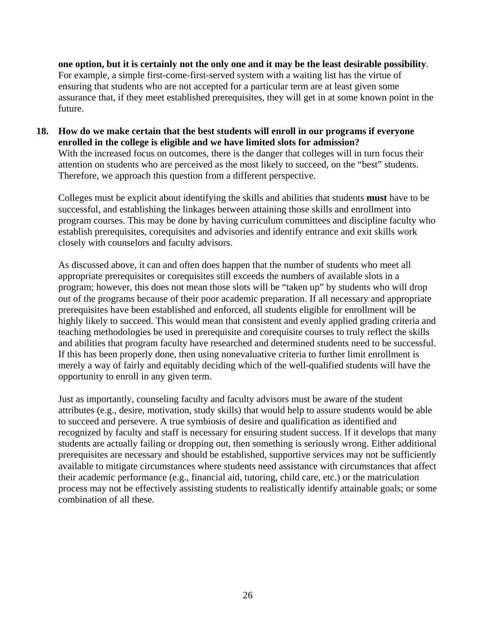**one option, but it is certainly not the only one and it may be the least desirable possibility**. For example, a simple first-come-first-served system with a waiting list has the virtue of ensuring that students who are not accepted for a particular term are at least given some assurance that, if they meet established prerequisites, they will get in at some known point in the future.

**18. How do we make certain that the best students will enroll in our programs if everyone enrolled in the college is eligible and we have limited slots for admission?**  With the increased focus on outcomes, there is the danger that colleges will in turn focus their attention on students who are perceived as the most likely to succeed, on the "best" students. Therefore, we approach this question from a different perspective.

Colleges must be explicit about identifying the skills and abilities that students **must** have to be successful, and establishing the linkages between attaining those skills and enrollment into program courses. This may be done by having curriculum committees and discipline faculty who establish prerequisites, corequisites and advisories and identify entrance and exit skills work closely with counselors and faculty advisors.

As discussed above, it can and often does happen that the number of students who meet all appropriate prerequisites or corequisites still exceeds the numbers of available slots in a program; however, this does not mean those slots will be "taken up" by students who will drop out of the programs because of their poor academic preparation. If all necessary and appropriate prerequisites have been established and enforced, all students eligible for enrollment will be highly likely to succeed. This would mean that consistent and evenly applied grading criteria and teaching methodologies be used in prerequisite and corequisite courses to truly reflect the skills and abilities that program faculty have researched and determined students need to be successful. If this has been properly done, then using nonevaluative criteria to further limit enrollment is merely a way of fairly and equitably deciding which of the well-qualified students will have the opportunity to enroll in any given term.

Just as importantly, counseling faculty and faculty advisors must be aware of the student attributes (e.g., desire, motivation, study skills) that would help to assure students would be able to succeed and persevere. A true symbiosis of desire and qualification as identified and recognized by faculty and staff is necessary for ensuring student success. If it develops that many students are actually failing or dropping out, then something is seriously wrong. Either additional prerequisites are necessary and should be established, supportive services may not be sufficiently available to mitigate circumstances where students need assistance with circumstances that affect their academic performance (e.g., financial aid, tutoring, child care, etc.) or the matriculation process may not be effectively assisting students to realistically identify attainable goals; or some combination of all these.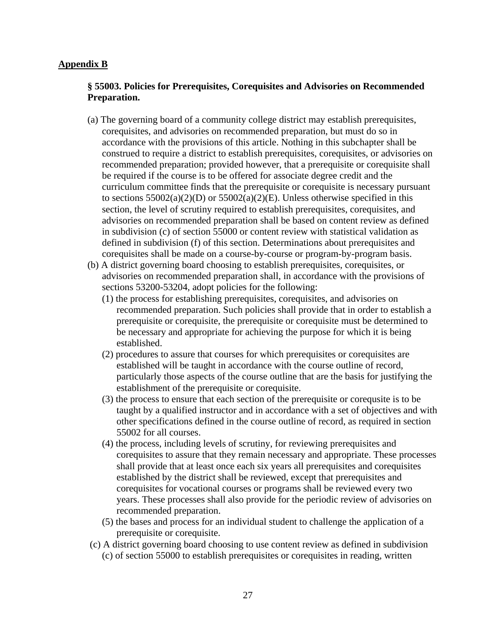#### **Appendix B**

#### **§ 55003. Policies for Prerequisites, Corequisites and Advisories on Recommended Preparation.**

- (a) The governing board of a community college district may establish prerequisites, corequisites, and advisories on recommended preparation, but must do so in accordance with the provisions of this article. Nothing in this subchapter shall be construed to require a district to establish prerequisites, corequisites, or advisories on recommended preparation; provided however, that a prerequisite or corequisite shall be required if the course is to be offered for associate degree credit and the curriculum committee finds that the prerequisite or corequisite is necessary pursuant to sections  $55002(a)(2)(D)$  or  $55002(a)(2)(E)$ . Unless otherwise specified in this section, the level of scrutiny required to establish prerequisites, corequisites, and advisories on recommended preparation shall be based on content review as defined in subdivision (c) of section 55000 or content review with statistical validation as defined in subdivision (f) of this section. Determinations about prerequisites and corequisites shall be made on a course-by-course or program-by-program basis.
- (b) A district governing board choosing to establish prerequisites, corequisites, or advisories on recommended preparation shall, in accordance with the provisions of sections 53200-53204, adopt policies for the following:
	- (1) the process for establishing prerequisites, corequisites, and advisories on recommended preparation. Such policies shall provide that in order to establish a prerequisite or corequisite, the prerequisite or corequisite must be determined to be necessary and appropriate for achieving the purpose for which it is being established.
	- (2) procedures to assure that courses for which prerequisites or corequisites are established will be taught in accordance with the course outline of record, particularly those aspects of the course outline that are the basis for justifying the establishment of the prerequisite or corequisite.
	- (3) the process to ensure that each section of the prerequisite or corequsite is to be taught by a qualified instructor and in accordance with a set of objectives and with other specifications defined in the course outline of record, as required in section 55002 for all courses.
	- (4) the process, including levels of scrutiny, for reviewing prerequisites and corequisites to assure that they remain necessary and appropriate. These processes shall provide that at least once each six years all prerequisites and corequisites established by the district shall be reviewed, except that prerequisites and corequisites for vocational courses or programs shall be reviewed every two years. These processes shall also provide for the periodic review of advisories on recommended preparation.
	- (5) the bases and process for an individual student to challenge the application of a prerequisite or corequisite.
- (c) A district governing board choosing to use content review as defined in subdivision (c) of section 55000 to establish prerequisites or corequisites in reading, written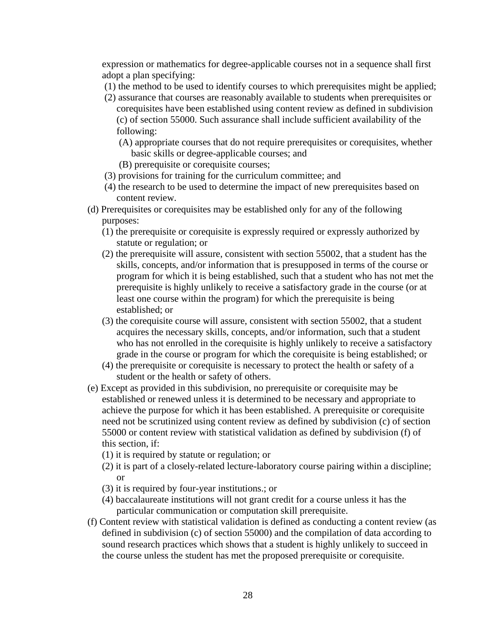expression or mathematics for degree-applicable courses not in a sequence shall first adopt a plan specifying:

- (1) the method to be used to identify courses to which prerequisites might be applied;
- (2) assurance that courses are reasonably available to students when prerequisites or corequisites have been established using content review as defined in subdivision (c) of section 55000. Such assurance shall include sufficient availability of the following:
	- (A) appropriate courses that do not require prerequisites or corequisites, whether basic skills or degree-applicable courses; and
	- (B) prerequisite or corequisite courses;
- (3) provisions for training for the curriculum committee; and
- (4) the research to be used to determine the impact of new prerequisites based on content review.
- (d) Prerequisites or corequisites may be established only for any of the following purposes:
	- (1) the prerequisite or corequisite is expressly required or expressly authorized by statute or regulation; or
	- (2) the prerequisite will assure, consistent with section 55002, that a student has the skills, concepts, and/or information that is presupposed in terms of the course or program for which it is being established, such that a student who has not met the prerequisite is highly unlikely to receive a satisfactory grade in the course (or at least one course within the program) for which the prerequisite is being established; or
	- (3) the corequisite course will assure, consistent with section 55002, that a student acquires the necessary skills, concepts, and/or information, such that a student who has not enrolled in the corequisite is highly unlikely to receive a satisfactory grade in the course or program for which the corequisite is being established; or
	- (4) the prerequisite or corequisite is necessary to protect the health or safety of a student or the health or safety of others.
- (e) Except as provided in this subdivision, no prerequisite or corequisite may be established or renewed unless it is determined to be necessary and appropriate to achieve the purpose for which it has been established. A prerequisite or corequisite need not be scrutinized using content review as defined by subdivision (c) of section 55000 or content review with statistical validation as defined by subdivision (f) of this section, if:
	- (1) it is required by statute or regulation; or
	- (2) it is part of a closely-related lecture-laboratory course pairing within a discipline; or
	- (3) it is required by four-year institutions.; or
	- (4) baccalaureate institutions will not grant credit for a course unless it has the particular communication or computation skill prerequisite.
- (f) Content review with statistical validation is defined as conducting a content review (as defined in subdivision (c) of section 55000) and the compilation of data according to sound research practices which shows that a student is highly unlikely to succeed in the course unless the student has met the proposed prerequisite or corequisite.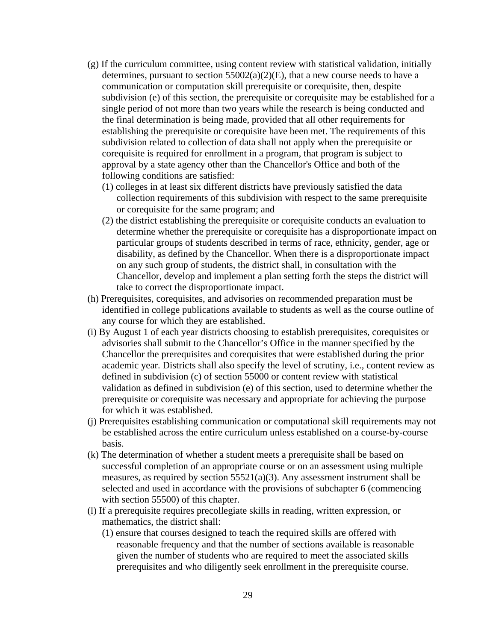- (g) If the curriculum committee, using content review with statistical validation, initially determines, pursuant to section  $55002(a)(2)(E)$ , that a new course needs to have a communication or computation skill prerequisite or corequisite, then, despite subdivision (e) of this section, the prerequisite or corequisite may be established for a single period of not more than two years while the research is being conducted and the final determination is being made, provided that all other requirements for establishing the prerequisite or corequisite have been met. The requirements of this subdivision related to collection of data shall not apply when the prerequisite or corequisite is required for enrollment in a program, that program is subject to approval by a state agency other than the Chancellor's Office and both of the following conditions are satisfied:
	- (1) colleges in at least six different districts have previously satisfied the data collection requirements of this subdivision with respect to the same prerequisite or corequisite for the same program; and
	- (2) the district establishing the prerequisite or corequisite conducts an evaluation to determine whether the prerequisite or corequisite has a disproportionate impact on particular groups of students described in terms of race, ethnicity, gender, age or disability, as defined by the Chancellor. When there is a disproportionate impact on any such group of students, the district shall, in consultation with the Chancellor, develop and implement a plan setting forth the steps the district will take to correct the disproportionate impact.
- (h) Prerequisites, corequisites, and advisories on recommended preparation must be identified in college publications available to students as well as the course outline of any course for which they are established.
- (i) By August 1 of each year districts choosing to establish prerequisites, corequisites or advisories shall submit to the Chancellor's Office in the manner specified by the Chancellor the prerequisites and corequisites that were established during the prior academic year. Districts shall also specify the level of scrutiny, i.e., content review as defined in subdivision (c) of section 55000 or content review with statistical validation as defined in subdivision (e) of this section, used to determine whether the prerequisite or corequisite was necessary and appropriate for achieving the purpose for which it was established.
- (j) Prerequisites establishing communication or computational skill requirements may not be established across the entire curriculum unless established on a course-by-course basis.
- (k) The determination of whether a student meets a prerequisite shall be based on successful completion of an appropriate course or on an assessment using multiple measures, as required by section 55521(a)(3). Any assessment instrument shall be selected and used in accordance with the provisions of subchapter 6 (commencing with section 55500) of this chapter.
- (l) If a prerequisite requires precollegiate skills in reading, written expression, or mathematics, the district shall:
	- (1) ensure that courses designed to teach the required skills are offered with reasonable frequency and that the number of sections available is reasonable given the number of students who are required to meet the associated skills prerequisites and who diligently seek enrollment in the prerequisite course.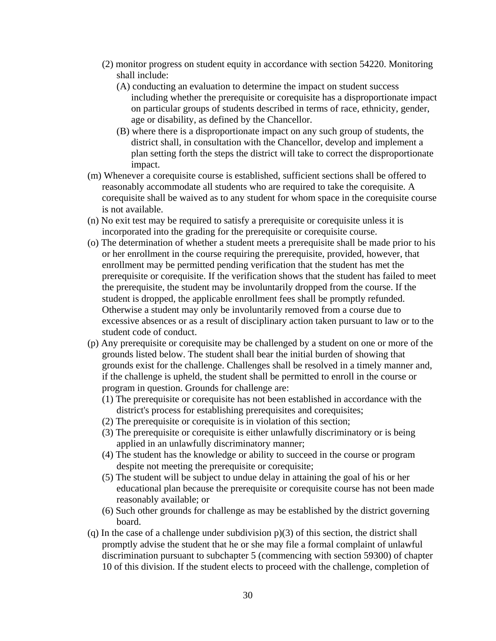- (2) monitor progress on student equity in accordance with section 54220. Monitoring shall include:
	- (A) conducting an evaluation to determine the impact on student success including whether the prerequisite or corequisite has a disproportionate impact on particular groups of students described in terms of race, ethnicity, gender, age or disability, as defined by the Chancellor.
	- (B) where there is a disproportionate impact on any such group of students, the district shall, in consultation with the Chancellor, develop and implement a plan setting forth the steps the district will take to correct the disproportionate impact.
- (m) Whenever a corequisite course is established, sufficient sections shall be offered to reasonably accommodate all students who are required to take the corequisite. A corequisite shall be waived as to any student for whom space in the corequisite course is not available.
- (n) No exit test may be required to satisfy a prerequisite or corequisite unless it is incorporated into the grading for the prerequisite or corequisite course.
- (o) The determination of whether a student meets a prerequisite shall be made prior to his or her enrollment in the course requiring the prerequisite, provided, however, that enrollment may be permitted pending verification that the student has met the prerequisite or corequisite. If the verification shows that the student has failed to meet the prerequisite, the student may be involuntarily dropped from the course. If the student is dropped, the applicable enrollment fees shall be promptly refunded. Otherwise a student may only be involuntarily removed from a course due to excessive absences or as a result of disciplinary action taken pursuant to law or to the student code of conduct.
- (p) Any prerequisite or corequisite may be challenged by a student on one or more of the grounds listed below. The student shall bear the initial burden of showing that grounds exist for the challenge. Challenges shall be resolved in a timely manner and, if the challenge is upheld, the student shall be permitted to enroll in the course or program in question. Grounds for challenge are:
	- (1) The prerequisite or corequisite has not been established in accordance with the district's process for establishing prerequisites and corequisites;
	- (2) The prerequisite or corequisite is in violation of this section;
	- (3) The prerequisite or corequisite is either unlawfully discriminatory or is being applied in an unlawfully discriminatory manner;
	- (4) The student has the knowledge or ability to succeed in the course or program despite not meeting the prerequisite or corequisite;
	- (5) The student will be subject to undue delay in attaining the goal of his or her educational plan because the prerequisite or corequisite course has not been made reasonably available; or
	- (6) Such other grounds for challenge as may be established by the district governing board.
- (q) In the case of a challenge under subdivision p)(3) of this section, the district shall promptly advise the student that he or she may file a formal complaint of unlawful discrimination pursuant to subchapter 5 (commencing with section 59300) of chapter 10 of this division. If the student elects to proceed with the challenge, completion of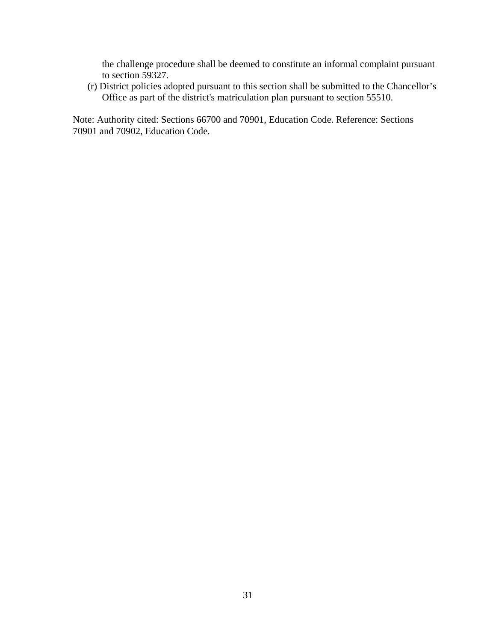the challenge procedure shall be deemed to constitute an informal complaint pursuant to section 59327.

(r) District policies adopted pursuant to this section shall be submitted to the Chancellor's Office as part of the district's matriculation plan pursuant to section 55510.

Note: Authority cited: Sections 66700 and 70901, Education Code. Reference: Sections 70901 and 70902, Education Code.